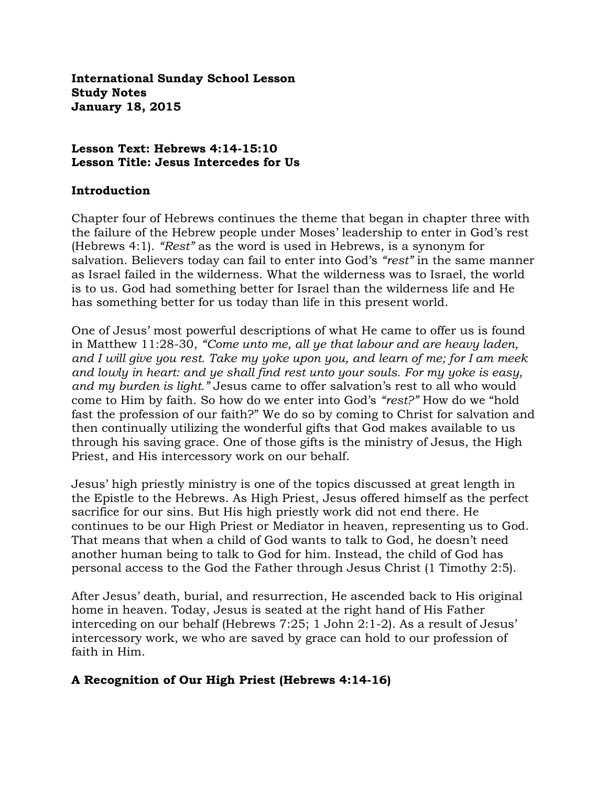**International Sunday School Lesson Study Notes January 18, 2015**

## **Lesson Text: Hebrews 4:14-15:10 Lesson Title: Jesus Intercedes for Us**

### **Introduction**

Chapter four of Hebrews continues the theme that began in chapter three with the failure of the Hebrew people under Moses' leadership to enter in God's rest (Hebrews 4:1). *"Rest"* as the word is used in Hebrews, is a synonym for salvation. Believers today can fail to enter into God's *"rest"* in the same manner as Israel failed in the wilderness. What the wilderness was to Israel, the world is to us. God had something better for Israel than the wilderness life and He has something better for us today than life in this present world.

One of Jesus' most powerful descriptions of what He came to offer us is found in Matthew 11:28-30, *"Come unto me, all ye that labour and are heavy laden, and I will give you rest. Take my yoke upon you, and learn of me; for I am meek and lowly in heart: and ye shall find rest unto your souls. For my yoke is easy, and my burden is light."* Jesus came to offer salvation's rest to all who would come to Him by faith. So how do we enter into God's *"rest?"* How do we "hold fast the profession of our faith?" We do so by coming to Christ for salvation and then continually utilizing the wonderful gifts that God makes available to us through his saving grace. One of those gifts is the ministry of Jesus, the High Priest, and His intercessory work on our behalf.

Jesus' high priestly ministry is one of the topics discussed at great length in the Epistle to the Hebrews. As High Priest, Jesus offered himself as the perfect sacrifice for our sins. But His high priestly work did not end there. He continues to be our High Priest or Mediator in heaven, representing us to God. That means that when a child of God wants to talk to God, he doesn't need another human being to talk to God for him. Instead, the child of God has personal access to the God the Father through Jesus Christ (1 Timothy 2:5).

After Jesus' death, burial, and resurrection, He ascended back to His original home in heaven. Today, Jesus is seated at the right hand of His Father interceding on our behalf (Hebrews 7:25; 1 John 2:1-2). As a result of Jesus' intercessory work, we who are saved by grace can hold to our profession of faith in Him.

## **A Recognition of Our High Priest (Hebrews 4:14-16)**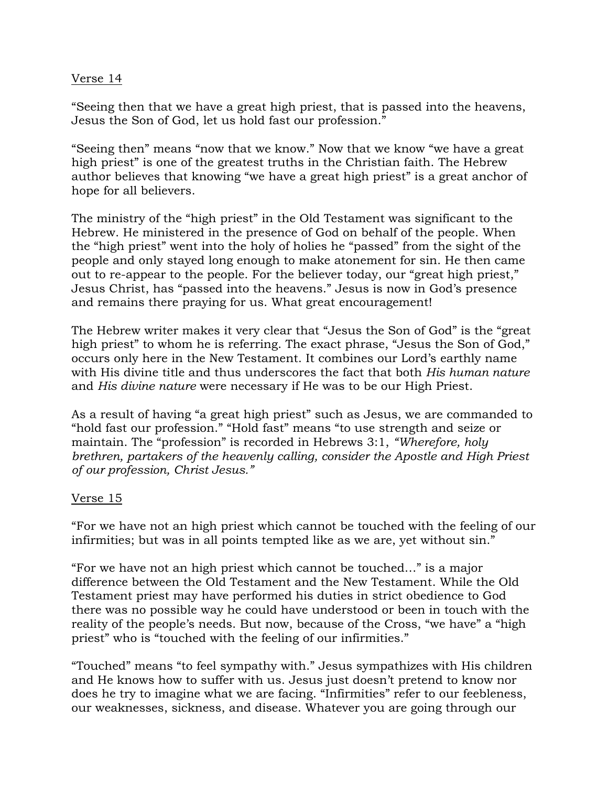### Verse 14

"Seeing then that we have a great high priest, that is passed into the heavens, Jesus the Son of God, let us hold fast our profession."

"Seeing then" means "now that we know." Now that we know "we have a great high priest" is one of the greatest truths in the Christian faith. The Hebrew author believes that knowing "we have a great high priest" is a great anchor of hope for all believers.

The ministry of the "high priest" in the Old Testament was significant to the Hebrew. He ministered in the presence of God on behalf of the people. When the "high priest" went into the holy of holies he "passed" from the sight of the people and only stayed long enough to make atonement for sin. He then came out to re-appear to the people. For the believer today, our "great high priest," Jesus Christ, has "passed into the heavens." Jesus is now in God's presence and remains there praying for us. What great encouragement!

The Hebrew writer makes it very clear that "Jesus the Son of God" is the "great high priest" to whom he is referring. The exact phrase, "Jesus the Son of God," occurs only here in the New Testament. It combines our Lord's earthly name with His divine title and thus underscores the fact that both *His human nature* and *His divine nature* were necessary if He was to be our High Priest.

As a result of having "a great high priest" such as Jesus, we are commanded to "hold fast our profession." "Hold fast" means "to use strength and seize or maintain. The "profession" is recorded in Hebrews 3:1, *"Wherefore, holy brethren, partakers of the heavenly calling, consider the Apostle and High Priest of our profession, Christ Jesus."*

## Verse 15

"For we have not an high priest which cannot be touched with the feeling of our infirmities; but was in all points tempted like as we are, yet without sin."

"For we have not an high priest which cannot be touched…" is a major difference between the Old Testament and the New Testament. While the Old Testament priest may have performed his duties in strict obedience to God there was no possible way he could have understood or been in touch with the reality of the people's needs. But now, because of the Cross, "we have" a "high priest" who is "touched with the feeling of our infirmities."

"Touched" means "to feel sympathy with." Jesus sympathizes with His children and He knows how to suffer with us. Jesus just doesn't pretend to know nor does he try to imagine what we are facing. "Infirmities" refer to our feebleness, our weaknesses, sickness, and disease. Whatever you are going through our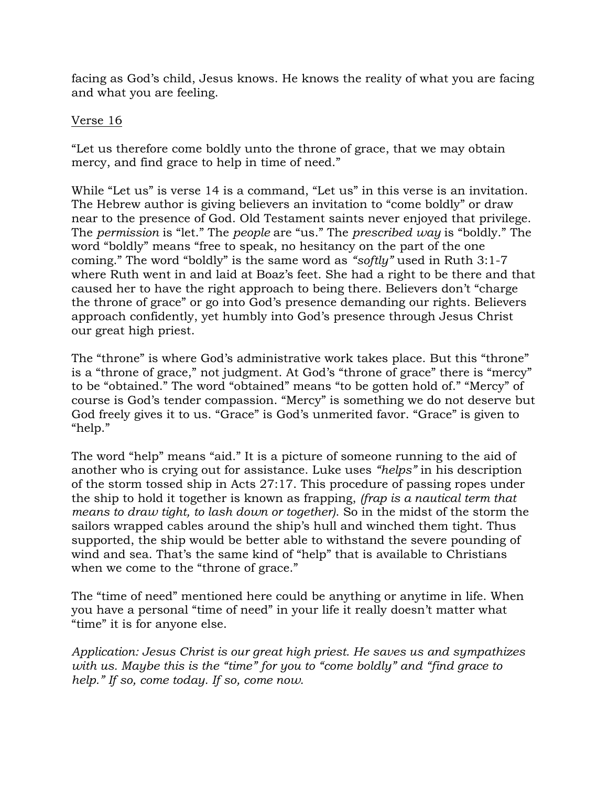facing as God's child, Jesus knows. He knows the reality of what you are facing and what you are feeling.

## Verse 16

"Let us therefore come boldly unto the throne of grace, that we may obtain mercy, and find grace to help in time of need."

While "Let us" is verse 14 is a command, "Let us" in this verse is an invitation. The Hebrew author is giving believers an invitation to "come boldly" or draw near to the presence of God. Old Testament saints never enjoyed that privilege. The *permission* is "let." The *people* are "us." The *prescribed way* is "boldly." The word "boldly" means "free to speak, no hesitancy on the part of the one coming." The word "boldly" is the same word as *"softly"* used in Ruth 3:1-7 where Ruth went in and laid at Boaz's feet. She had a right to be there and that caused her to have the right approach to being there. Believers don't "charge the throne of grace" or go into God's presence demanding our rights. Believers approach confidently, yet humbly into God's presence through Jesus Christ our great high priest.

The "throne" is where God's administrative work takes place. But this "throne" is a "throne of grace," not judgment. At God's "throne of grace" there is "mercy" to be "obtained." The word "obtained" means "to be gotten hold of." "Mercy" of course is God's tender compassion. "Mercy" is something we do not deserve but God freely gives it to us. "Grace" is God's unmerited favor. "Grace" is given to "help."

The word "help" means "aid." It is a picture of someone running to the aid of another who is crying out for assistance. Luke uses *"helps"* in his description of the storm tossed ship in Acts 27:17. This procedure of passing ropes under the ship to hold it together is known as frapping, *(frap is a nautical term that means to draw tight, to lash down or together)*. So in the midst of the storm the sailors wrapped cables around the ship's hull and winched them tight. Thus supported, the ship would be better able to withstand the severe pounding of wind and sea. That's the same kind of "help" that is available to Christians when we come to the "throne of grace."

The "time of need" mentioned here could be anything or anytime in life. When you have a personal "time of need" in your life it really doesn't matter what "time" it is for anyone else.

*Application: Jesus Christ is our great high priest. He saves us and sympathizes with us. Maybe this is the "time" for you to "come boldly" and "find grace to help." If so, come today. If so, come now.*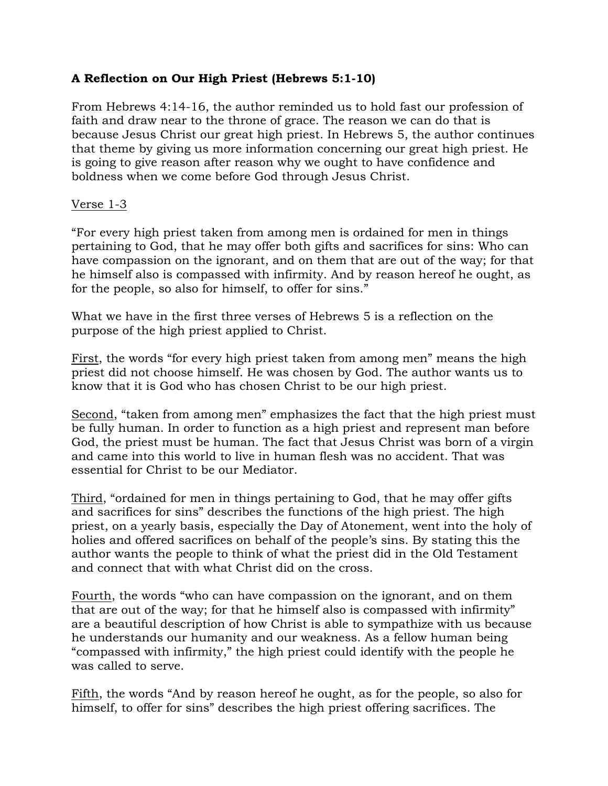# **A Reflection on Our High Priest (Hebrews 5:1-10)**

From Hebrews 4:14-16, the author reminded us to hold fast our profession of faith and draw near to the throne of grace. The reason we can do that is because Jesus Christ our great high priest. In Hebrews 5, the author continues that theme by giving us more information concerning our great high priest. He is going to give reason after reason why we ought to have confidence and boldness when we come before God through Jesus Christ.

## Verse 1-3

"For every high priest taken from among men is ordained for men in things pertaining to God, that he may offer both gifts and sacrifices for sins: Who can have compassion on the ignorant, and on them that are out of the way; for that he himself also is compassed with infirmity. And by reason hereof he ought, as for the people, so also for himself, to offer for sins."

What we have in the first three verses of Hebrews 5 is a reflection on the purpose of the high priest applied to Christ.

First, the words "for every high priest taken from among men" means the high priest did not choose himself. He was chosen by God. The author wants us to know that it is God who has chosen Christ to be our high priest.

Second, "taken from among men" emphasizes the fact that the high priest must be fully human. In order to function as a high priest and represent man before God, the priest must be human. The fact that Jesus Christ was born of a virgin and came into this world to live in human flesh was no accident. That was essential for Christ to be our Mediator.

Third, "ordained for men in things pertaining to God, that he may offer gifts and sacrifices for sins" describes the functions of the high priest. The high priest, on a yearly basis, especially the Day of Atonement, went into the holy of holies and offered sacrifices on behalf of the people's sins. By stating this the author wants the people to think of what the priest did in the Old Testament and connect that with what Christ did on the cross.

Fourth, the words "who can have compassion on the ignorant, and on them that are out of the way; for that he himself also is compassed with infirmity" are a beautiful description of how Christ is able to sympathize with us because he understands our humanity and our weakness. As a fellow human being "compassed with infirmity," the high priest could identify with the people he was called to serve.

Fifth, the words "And by reason hereof he ought, as for the people, so also for himself, to offer for sins" describes the high priest offering sacrifices. The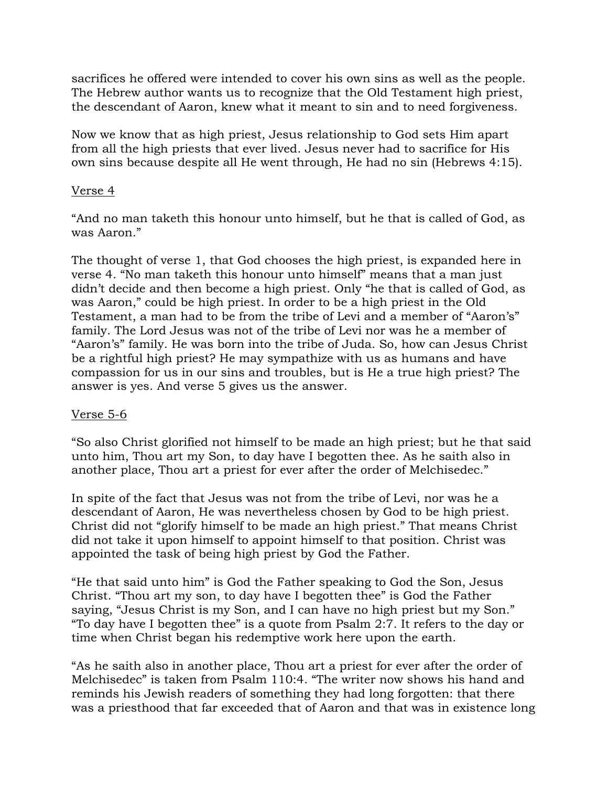sacrifices he offered were intended to cover his own sins as well as the people. The Hebrew author wants us to recognize that the Old Testament high priest, the descendant of Aaron, knew what it meant to sin and to need forgiveness.

Now we know that as high priest, Jesus relationship to God sets Him apart from all the high priests that ever lived. Jesus never had to sacrifice for His own sins because despite all He went through, He had no sin (Hebrews 4:15).

## Verse 4

"And no man taketh this honour unto himself, but he that is called of God, as was Aaron."

The thought of verse 1, that God chooses the high priest, is expanded here in verse 4. "No man taketh this honour unto himself" means that a man just didn't decide and then become a high priest. Only "he that is called of God, as was Aaron," could be high priest. In order to be a high priest in the Old Testament, a man had to be from the tribe of Levi and a member of "Aaron's" family. The Lord Jesus was not of the tribe of Levi nor was he a member of "Aaron's" family. He was born into the tribe of Juda. So, how can Jesus Christ be a rightful high priest? He may sympathize with us as humans and have compassion for us in our sins and troubles, but is He a true high priest? The answer is yes. And verse 5 gives us the answer.

### Verse 5-6

"So also Christ glorified not himself to be made an high priest; but he that said unto him, Thou art my Son, to day have I begotten thee. As he saith also in another place, Thou art a priest for ever after the order of Melchisedec."

In spite of the fact that Jesus was not from the tribe of Levi, nor was he a descendant of Aaron, He was nevertheless chosen by God to be high priest. Christ did not "glorify himself to be made an high priest." That means Christ did not take it upon himself to appoint himself to that position. Christ was appointed the task of being high priest by God the Father.

"He that said unto him" is God the Father speaking to God the Son, Jesus Christ. "Thou art my son, to day have I begotten thee" is God the Father saying, "Jesus Christ is my Son, and I can have no high priest but my Son." "To day have I begotten thee" is a quote from Psalm 2:7. It refers to the day or time when Christ began his redemptive work here upon the earth.

"As he saith also in another place, Thou art a priest for ever after the order of Melchisedec" is taken from Psalm 110:4. "The writer now shows his hand and reminds his Jewish readers of something they had long forgotten: that there was a priesthood that far exceeded that of Aaron and that was in existence long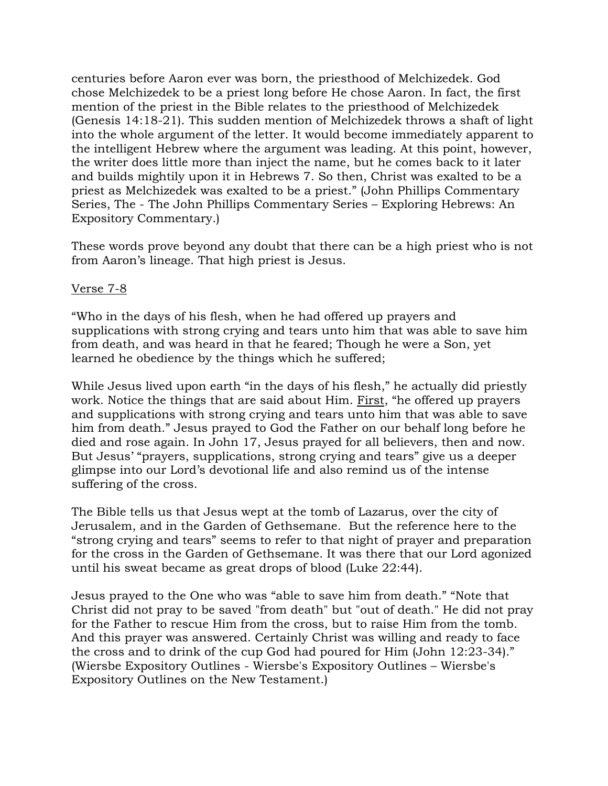centuries before Aaron ever was born, the priesthood of Melchizedek. God chose Melchizedek to be a priest long before He chose Aaron. In fact, the first mention of the priest in the Bible relates to the priesthood of Melchizedek (Genesis 14:18-21). This sudden mention of Melchizedek throws a shaft of light into the whole argument of the letter. It would become immediately apparent to the intelligent Hebrew where the argument was leading. At this point, however, the writer does little more than inject the name, but he comes back to it later and builds mightily upon it in Hebrews 7. So then, Christ was exalted to be a priest as Melchizedek was exalted to be a priest." (John Phillips Commentary Series, The - The John Phillips Commentary Series – Exploring Hebrews: An Expository Commentary.)

These words prove beyond any doubt that there can be a high priest who is not from Aaron's lineage. That high priest is Jesus.

### Verse 7-8

"Who in the days of his flesh, when he had offered up prayers and supplications with strong crying and tears unto him that was able to save him from death, and was heard in that he feared; Though he were a Son, yet learned he obedience by the things which he suffered;

While Jesus lived upon earth "in the days of his flesh," he actually did priestly work. Notice the things that are said about Him. First, "he offered up prayers and supplications with strong crying and tears unto him that was able to save him from death." Jesus prayed to God the Father on our behalf long before he died and rose again. In John 17, Jesus prayed for all believers, then and now. But Jesus' "prayers, supplications, strong crying and tears" give us a deeper glimpse into our Lord's devotional life and also remind us of the intense suffering of the cross.

The Bible tells us that Jesus wept at the tomb of Lazarus, over the city of Jerusalem, and in the Garden of Gethsemane. But the reference here to the "strong crying and tears" seems to refer to that night of prayer and preparation for the cross in the Garden of Gethsemane. It was there that our Lord agonized until his sweat became as great drops of blood (Luke 22:44).

Jesus prayed to the One who was "able to save him from death." "Note that Christ did not pray to be saved "from death" but "out of death." He did not pray for the Father to rescue Him from the cross, but to raise Him from the tomb. And this prayer was answered. Certainly Christ was willing and ready to face the cross and to drink of the cup God had poured for Him (John 12:23-34)." (Wiersbe Expository Outlines - Wiersbe's Expository Outlines – Wiersbe's Expository Outlines on the New Testament.)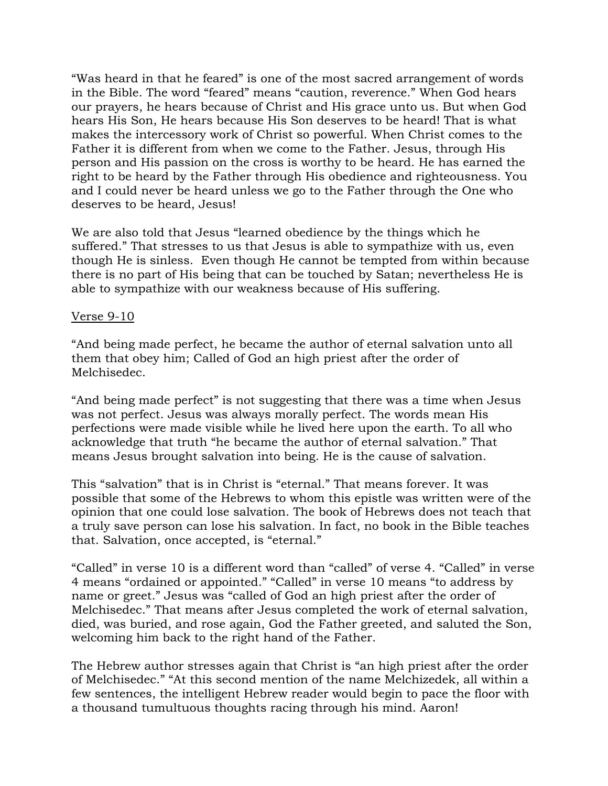"Was heard in that he feared" is one of the most sacred arrangement of words in the Bible. The word "feared" means "caution, reverence." When God hears our prayers, he hears because of Christ and His grace unto us. But when God hears His Son, He hears because His Son deserves to be heard! That is what makes the intercessory work of Christ so powerful. When Christ comes to the Father it is different from when we come to the Father. Jesus, through His person and His passion on the cross is worthy to be heard. He has earned the right to be heard by the Father through His obedience and righteousness. You and I could never be heard unless we go to the Father through the One who deserves to be heard, Jesus!

We are also told that Jesus "learned obedience by the things which he suffered." That stresses to us that Jesus is able to sympathize with us, even though He is sinless. Even though He cannot be tempted from within because there is no part of His being that can be touched by Satan; nevertheless He is able to sympathize with our weakness because of His suffering.

### Verse 9-10

"And being made perfect, he became the author of eternal salvation unto all them that obey him; Called of God an high priest after the order of Melchisedec.

"And being made perfect" is not suggesting that there was a time when Jesus was not perfect. Jesus was always morally perfect. The words mean His perfections were made visible while he lived here upon the earth. To all who acknowledge that truth "he became the author of eternal salvation." That means Jesus brought salvation into being. He is the cause of salvation.

This "salvation" that is in Christ is "eternal." That means forever. It was possible that some of the Hebrews to whom this epistle was written were of the opinion that one could lose salvation. The book of Hebrews does not teach that a truly save person can lose his salvation. In fact, no book in the Bible teaches that. Salvation, once accepted, is "eternal."

"Called" in verse 10 is a different word than "called" of verse 4. "Called" in verse 4 means "ordained or appointed." "Called" in verse 10 means "to address by name or greet." Jesus was "called of God an high priest after the order of Melchisedec." That means after Jesus completed the work of eternal salvation, died, was buried, and rose again, God the Father greeted, and saluted the Son, welcoming him back to the right hand of the Father.

The Hebrew author stresses again that Christ is "an high priest after the order of Melchisedec." "At this second mention of the name Melchizedek, all within a few sentences, the intelligent Hebrew reader would begin to pace the floor with a thousand tumultuous thoughts racing through his mind. Aaron!